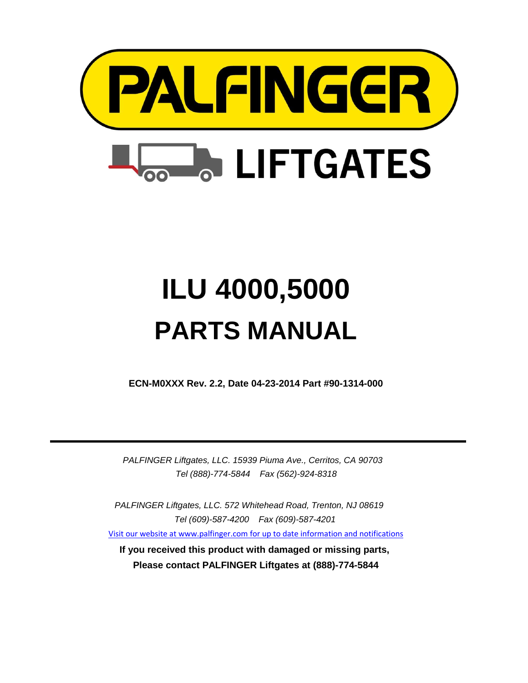

# **ILU 4000,5000 PARTS MANUAL**

**ECN-M0XXX Rev. 2.2, Date 04-23-2014 Part #90-1314-000**

*PALFINGER Liftgates, LLC. 15939 Piuma Ave., Cerritos, CA 90703 Tel (888)-774-5844 Fax (562)-924-8318*

*PALFINGER Liftgates, LLC. 572 Whitehead Road, Trenton, NJ 08619 Tel (609)-587-4200 Fax (609)-587-4201*

[Visit our website at www.palfinger.com for up to date informatio](http://www.palfinger.com/)n and notifications

**If you received this product with damaged or missing parts, Please contact PALFINGER Liftgates at (888)-774-5844**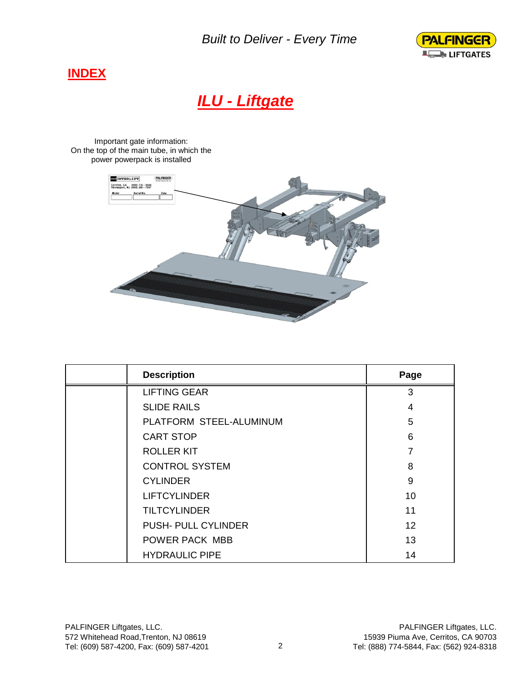*Built to Deliver - Every Time*



#### **INDEX**

## *ILU - Liftgate*

Important gate information: On the top of the main tube, in which the power powerpack is installed



| <b>Description</b>      | Page |
|-------------------------|------|
| <b>LIFTING GEAR</b>     | 3    |
| <b>SLIDE RAILS</b>      | 4    |
| PLATFORM STEEL-ALUMINUM | 5    |
| <b>CART STOP</b>        | 6    |
| <b>ROLLER KIT</b>       | 7    |
| <b>CONTROL SYSTEM</b>   | 8    |
| <b>CYLINDER</b>         | 9    |
| <b>LIFTCYLINDER</b>     | 10   |
| <b>TILTCYLINDER</b>     | 11   |
| PUSH- PULL CYLINDER     | 12   |
| <b>POWER PACK MBB</b>   | 13   |
| <b>HYDRAULIC PIPE</b>   | 14   |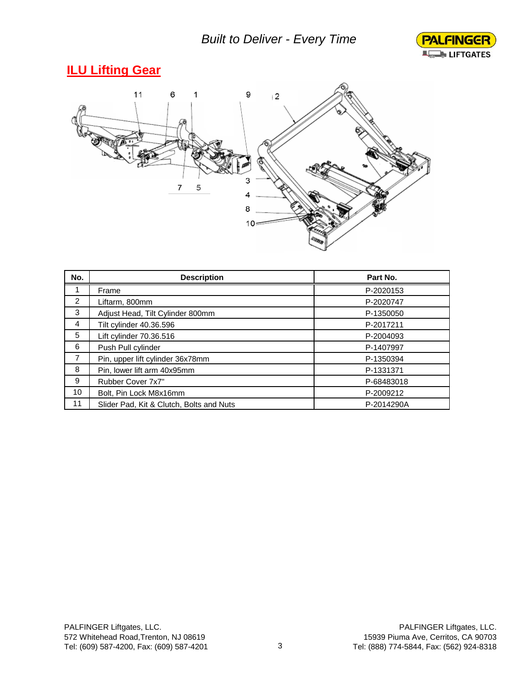

## **ILU Lifting Gear**



| No.            | <b>Description</b>                       | Part No.   |
|----------------|------------------------------------------|------------|
|                | Frame                                    | P-2020153  |
| 2              | Liftarm, 800mm                           | P-2020747  |
| 3              | Adjust Head, Tilt Cylinder 800mm         | P-1350050  |
| 4              | Tilt cylinder 40.36.596                  | P-2017211  |
| 5              | Lift cylinder 70.36.516                  | P-2004093  |
| 6              | Push Pull cylinder                       | P-1407997  |
| $\overline{7}$ | Pin, upper lift cylinder 36x78mm         | P-1350394  |
| 8              | Pin, lower lift arm 40x95mm              | P-1331371  |
| 9              | Rubber Cover 7x7"                        | P-68483018 |
| 10             | Bolt, Pin Lock M8x16mm                   | P-2009212  |
| 11             | Slider Pad, Kit & Clutch, Bolts and Nuts | P-2014290A |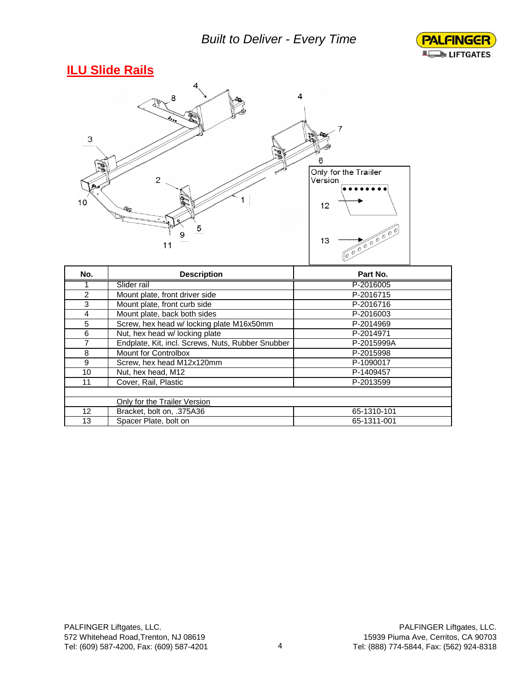

#### **ILU Slide Rails**



| No. | <b>Description</b>                                | Part No.    |
|-----|---------------------------------------------------|-------------|
|     | Slider rail                                       | P-2016005   |
| 2   | Mount plate, front driver side                    | P-2016715   |
| 3   | Mount plate, front curb side                      | P-2016716   |
| 4   | Mount plate, back both sides                      | P-2016003   |
| 5   | Screw, hex head w/ locking plate M16x50mm         | P-2014969   |
| 6   | Nut, hex head w/ locking plate                    | P-2014971   |
| 7   | Endplate, Kit, incl. Screws, Nuts, Rubber Snubber | P-2015999A  |
| 8   | Mount for Controlbox                              | P-2015998   |
| 9   | Screw, hex head M12x120mm                         | P-1090017   |
| 10  | Nut, hex head, M12                                | P-1409457   |
| 11  | Cover, Rail, Plastic                              | P-2013599   |
|     |                                                   |             |
|     | Only for the Trailer Version                      |             |
| 12  | Bracket, bolt on, .375A36                         | 65-1310-101 |
| 13  | Spacer Plate, bolt on                             | 65-1311-001 |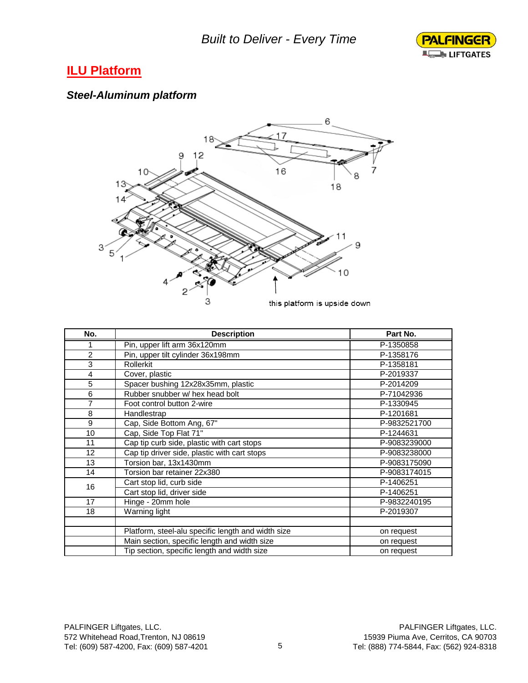

#### **ILU Platform**

#### *Steel-Aluminum platform*



| No.            | <b>Description</b>                                 | Part No.     |
|----------------|----------------------------------------------------|--------------|
| 1              | Pin, upper lift arm 36x120mm                       | P-1350858    |
| $\overline{2}$ | Pin, upper tilt cylinder 36x198mm                  | P-1358176    |
| 3              | <b>Rollerkit</b>                                   | P-1358181    |
| 4              | Cover, plastic                                     | P-2019337    |
| 5              | Spacer bushing 12x28x35mm, plastic                 | P-2014209    |
| 6              | Rubber snubber w/ hex head bolt                    | P-71042936   |
| 7              | Foot control button 2-wire                         | P-1330945    |
| 8              | Handlestrap                                        | P-1201681    |
| 9              | Cap, Side Bottom Ang, 67"                          | P-9832521700 |
| 10             | Cap, Side Top Flat 71"                             | P-1244631    |
| 11             | Cap tip curb side, plastic with cart stops         | P-9083239000 |
| 12             | Cap tip driver side, plastic with cart stops       | P-9083238000 |
| 13             | Torsion bar, 13x1430mm                             | P-9083175090 |
| 14             | Torsion bar retainer 22x380                        | P-9083174015 |
| 16             | Cart stop lid, curb side                           | P-1406251    |
|                | Cart stop lid, driver side                         | P-1406251    |
| 17             | Hinge - 20mm hole                                  | P-9832240195 |
| 18             | Warning light                                      | P-2019307    |
|                |                                                    |              |
|                | Platform, steel-alu specific length and width size | on request   |
|                | Main section, specific length and width size       | on request   |
|                | Tip section, specific length and width size        | on request   |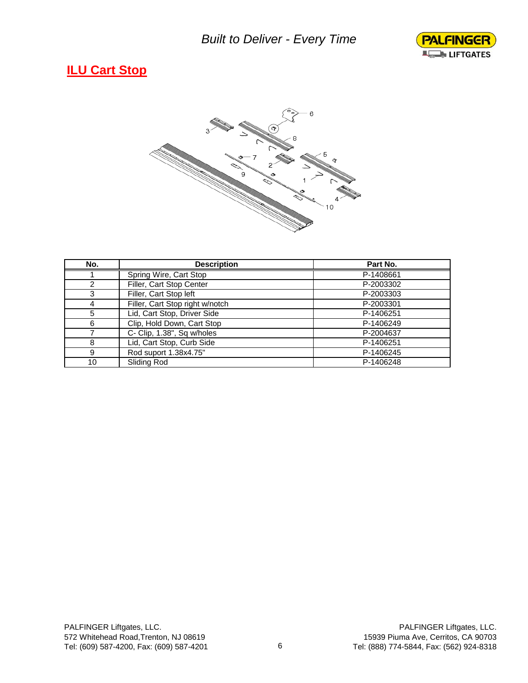

#### **ILU Cart Stop**



| No. | <b>Description</b>              | Part No.  |
|-----|---------------------------------|-----------|
|     | Spring Wire, Cart Stop          | P-1408661 |
| っ   | Filler, Cart Stop Center        | P-2003302 |
| 3   | Filler, Cart Stop left          | P-2003303 |
| 4   | Filler, Cart Stop right w/notch | P-2003301 |
| 5   | Lid, Cart Stop, Driver Side     | P-1406251 |
| 6   | Clip, Hold Down, Cart Stop      | P-1406249 |
|     | C- Clip, 1.38", Sq w/holes      | P-2004637 |
| 8   | Lid, Cart Stop, Curb Side       | P-1406251 |
| 9   | Rod suport 1.38x4.75"           | P-1406245 |
| 10  | Sliding Rod                     | P-1406248 |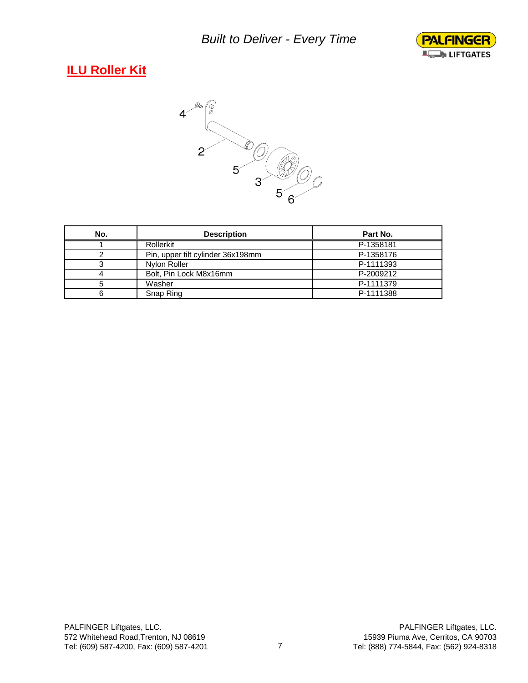

## **ILU Roller Kit**



| No. | <b>Description</b>                | Part No.  |
|-----|-----------------------------------|-----------|
|     | Rollerkit                         | P-1358181 |
|     | Pin, upper tilt cylinder 36x198mm | P-1358176 |
|     | Nylon Roller                      | P-1111393 |
|     | Bolt, Pin Lock M8x16mm            | P-2009212 |
|     | Washer                            | P-1111379 |
|     | Snap Ring                         | P-1111388 |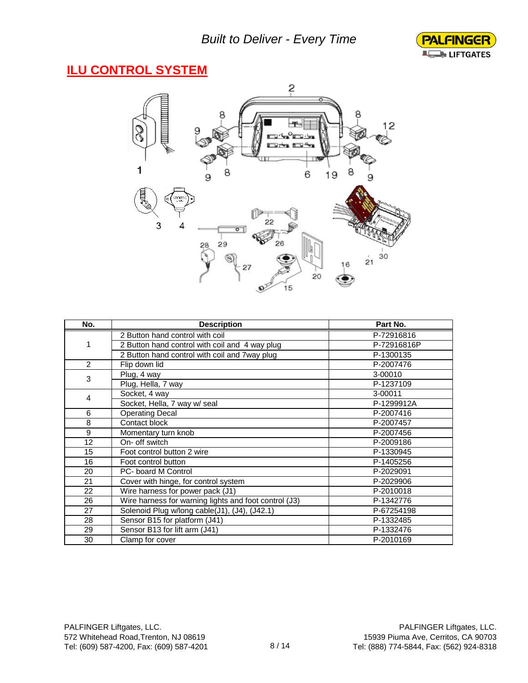

#### **ILU CONTROL SYSTEM**



| No. | <b>Description</b>                                    | Part No.    |
|-----|-------------------------------------------------------|-------------|
|     | 2 Button hand control with coil                       | P-72916816  |
| 1   | 2 Button hand control with coil and 4 way plug        | P-72916816P |
|     | 2 Button hand control with coil and 7way plug         | P-1300135   |
| 2   | Flip down lid                                         | P-2007476   |
| 3   | Plug, 4 way                                           | 3-00010     |
|     | Plug, Hella, 7 way                                    | P-1237109   |
| 4   | Socket, 4 way                                         | 3-00011     |
|     | Socket, Hella, 7 way w/ seal                          | P-1299912A  |
| 6   | <b>Operating Decal</b>                                | P-2007416   |
| 8   | Contact block                                         | P-2007457   |
| 9   | Momentary turn knob                                   | P-2007456   |
| 12  | On- off switch                                        | P-2009186   |
| 15  | Foot control button 2 wire                            | P-1330945   |
| 16  | Foot control button                                   | P-1405256   |
| 20  | PC- board M Control                                   | P-2029091   |
| 21  | Cover with hinge, for control system                  | P-2029906   |
| 22  | Wire harness for power pack (J1)                      | P-2010018   |
| 26  | Wire harness for warning lights and foot control (J3) | P-1342776   |
| 27  | Solenoid Plug w/long cable(J1), (J4), (J42.1)         | P-67254198  |
| 28  | Sensor B15 for platform (J41)                         | P-1332485   |
| 29  | Sensor B13 for lift arm (J41)                         | P-1332476   |
| 30  | Clamp for cover                                       | P-2010169   |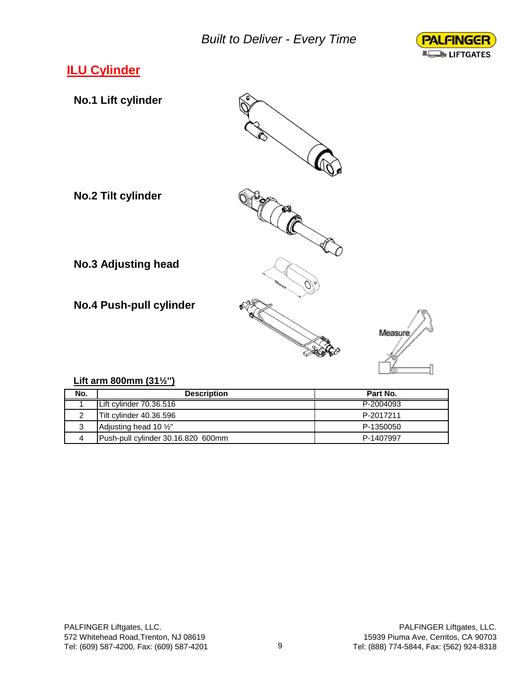

## **ILU Cylinder**



#### **Lift arm 800mm (31½'')**

| No. | <b>Description</b>                 | Part No.  |
|-----|------------------------------------|-----------|
|     | Lift cylinder 70.36.516            | P-2004093 |
|     | Tilt cylinder 40.36.596            | P-2017211 |
| 3   | Adjusting head 10 1/2"             | P-1350050 |
|     | Push-pull cylinder 30.16.820 600mm | P-1407997 |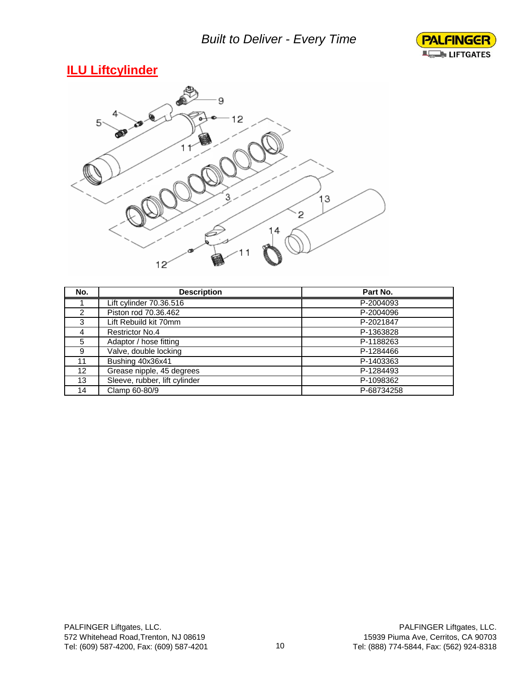

#### **ILU Liftcylinder**



| No.             | <b>Description</b>            | Part No.   |
|-----------------|-------------------------------|------------|
|                 | Lift cylinder 70.36.516       | P-2004093  |
| 2               | Piston rod 70.36.462          | P-2004096  |
| 3               | Lift Rebuild kit 70mm         | P-2021847  |
| 4               | <b>Restrictor No.4</b>        | P-1363828  |
| 5               | Adaptor / hose fitting        | P-1188263  |
| 9               | Valve, double locking         | P-1284466  |
| 11              | Bushing 40x36x41              | P-1403363  |
| 12 <sup>2</sup> | Grease nipple, 45 degrees     | P-1284493  |
| 13              | Sleeve, rubber, lift cylinder | P-1098362  |
| 14              | Clamp 60-80/9                 | P-68734258 |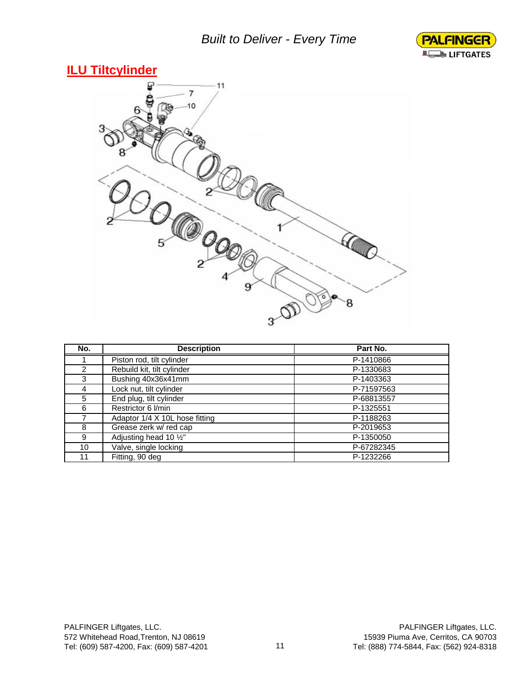#### *Built to Deliver - Every Time*



#### **ILU Tiltcylinder**



| No.           | <b>Description</b>             | Part No.   |
|---------------|--------------------------------|------------|
|               | Piston rod, tilt cylinder      | P-1410866  |
| $\mathcal{P}$ | Rebuild kit, tilt cylinder     | P-1330683  |
| 3             | Bushing 40x36x41mm             | P-1403363  |
| 4             | Lock nut, tilt cylinder        | P-71597563 |
| 5             | End plug, tilt cylinder        | P-68813557 |
| 6             | Restrictor 6 I/min             | P-1325551  |
|               | Adaptor 1/4 X 10L hose fitting | P-1188263  |
| 8             | Grease zerk w/ red cap         | P-2019653  |
| 9             | Adjusting head 10 1/2"         | P-1350050  |
| 10            | Valve, single locking          | P-67282345 |
| 11            | Fitting, 90 deg                | P-1232266  |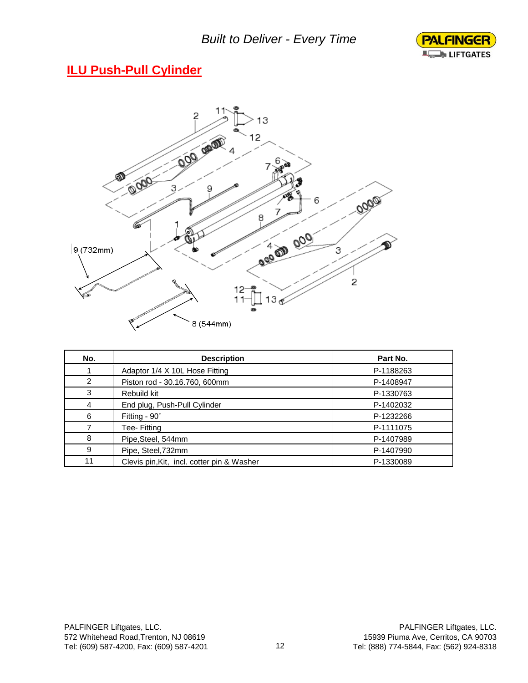

## **ILU Push-Pull Cylinder**



| No. | <b>Description</b>                         | Part No.  |
|-----|--------------------------------------------|-----------|
|     | Adaptor 1/4 X 10L Hose Fitting             | P-1188263 |
| 2   | Piston rod - 30.16.760, 600mm              | P-1408947 |
| 3   | Rebuild kit                                | P-1330763 |
| 4   | End plug, Push-Pull Cylinder               | P-1402032 |
| 6   | Fitting - $90^\circ$                       | P-1232266 |
|     | Tee- Fitting                               | P-1111075 |
| 8   | Pipe, Steel, 544mm                         | P-1407989 |
| 9   | Pipe, Steel, 732mm                         | P-1407990 |
| 11  | Clevis pin, Kit, incl. cotter pin & Washer | P-1330089 |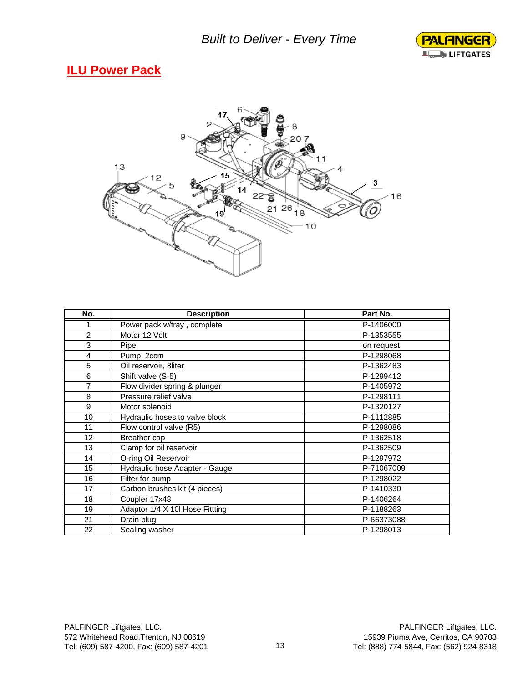

#### **ILU Power Pack**



| No.            | <b>Description</b>              | Part No.   |
|----------------|---------------------------------|------------|
| 1              | Power pack w/tray, complete     | P-1406000  |
| 2              | Motor 12 Volt                   | P-1353555  |
| 3              | Pipe                            | on request |
| 4              | Pump, 2ccm                      | P-1298068  |
| 5              | Oil reservoir, 8liter           | P-1362483  |
| 6              | Shift valve (S-5)               | P-1299412  |
| $\overline{7}$ | Flow divider spring & plunger   | P-1405972  |
| 8              | Pressure relief valve           | P-1298111  |
| 9              | Motor solenoid                  | P-1320127  |
| 10             | Hydraulic hoses to valve block  | P-1112885  |
| 11             | Flow control valve (R5)         | P-1298086  |
| 12             | Breather cap                    | P-1362518  |
| 13             | Clamp for oil reservoir         | P-1362509  |
| 14             | O-ring Oil Reservoir            | P-1297972  |
| 15             | Hydraulic hose Adapter - Gauge  | P-71067009 |
| 16             | Filter for pump                 | P-1298022  |
| 17             | Carbon brushes kit (4 pieces)   | P-1410330  |
| 18             | Coupler 17x48                   | P-1406264  |
| 19             | Adaptor 1/4 X 10I Hose Fittting | P-1188263  |
| 21             | Drain plug                      | P-66373088 |
| 22             | Sealing washer                  | P-1298013  |